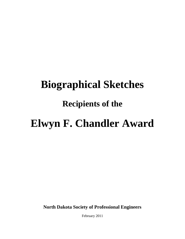# **Biographical Sketches**

## **Recipients of the**

## **Elwyn F. Chandler Award**

**North Dakota Society of Professional Engineers**

February 2011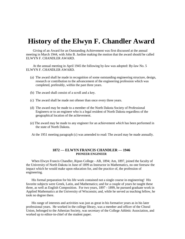### **History of the Elwyn F. Chandler Award**

Giving of an Award for an Outstanding Achievement was first discussed at the annual meeting in March 1944, with John B. Jardine making the motion that the award should be called ELWYN F. CHANDLER AWARD.

At the annual meeting in April 1945 the following by-law was adopted: By-law No. 5 ELWYN F. CHANDLER AWARD.

- (a) The award shall he made in recognition of some outstanding engineering structure, design, research or contribution to the advancement of the engineering profession which was completed, preferably, within the past three years.
- (b) The award shall consist of a scroll and a key.
- (c) The award shall be made not oftener than once every three years.
- (d) The award may be made to a member of the North Dakota Society of Professional Engineers or to an engineer who is a legal resident of North Dakota regardless of the geographical location of the achievement.
- (e) The award may be made to any engineer for an achievement *which* has been performed in the state of North Dakota.
- At the 1951 meeting paragraph (c) was amended to read: The award may be made annually.

#### **1872 — ELWYN FRANCIS CHANDLER — 1946 PIONEER ENGINEER**

When Elwyn Francis Chandler, Ripon College - AB, 1894; Am, 1897, joined the faculty of the University of North Dakota in June of 1899 as Instructor in Mathematics, no one foresaw the impact which he would make upon education for, and the practice of, the profession of engineering.

His formal preparation for his life work contained not a single course in engineering! His favorite subjects were Greek, Latin, and Mathematics; and for a couple of years he taught these three, as well as English Composition. For two years, 1897 - 1899, he pursued graduate work in Applied Mathematics at the University of Wisconsin; and, while he served as teaching fellow, he took no degree there.

His range of interests and activities was just as great in his formative years as in his later professional years. He worked in the college library, was a member and officer of the Choral Union, belonged to the Athenian Society, was secretary of the College Athletic Association, and worked up to editor-in-chief of the student paper.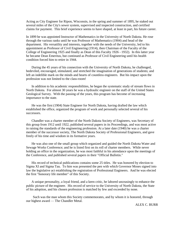Acting as City Engineer for Ripon, Wisconsin, in the spring and summer of 1895, he staked out several miles of the City's sewer system, supervised and inspected construction, and certified claims for payment. This brief experience seems to have shaped, at least in part, his future career.

In 1899 he was appointed Instructor of Mathematics in the University of North Dakota. He rose through the various ranks until he was Professor of Mathematics (1904) and head of the department. His versatility and interests, together with the needs of the University, led to his appointment as Professor of Civil Engineering (1914), then Chairman of the Faculty of the College of Engineering 1925 and finally as Dean of this Faculty 1926 - 1932). In this latter year he became Dean Emeritus, but continued as Professor of Civil Engineering until his health condition forced him to retire in 1944.

During the 45 years of his connection with the University of North Dakota, he challenged, bedeviled, encouraged, stimulated, and stretched the imagination of generations of students; and left an indelible mark on the minds and hearts of countless engineers. But his impact upon the profession was not limited to the class-room!

In addition to his academic responsibilities, he began the systematic study of stream flows in North Dakota. For almost 30 years he was a hydraulic engineer on the staff of the United States Geological Survey. With the passing of the years, this program has become of increasing importance to the state.

He was the first (1904) State Engineer for North Dakota, having drafted the law which established the office, organized the program of work and personally selected several of his successors.

Chandler was a charter member of the North Dakota Society of Engineers, was Secretary of this group from 1912 until 1922, published several papers in its Proceedings, and was most active in raising the standards of the engineering profession. At a later date (1940) he was a charter member of the successor society, The North Dakota Society of Professional Engineers, and gave freely of his time and wisdom in its formative years.

He was also one of the small group which organized and guided the North Dakota Water and Sewage Works Conference; and he is listed first on its roll of charter members. While never holding an office in the organization, he was most faithful in his attendance upon the meetings of the Conference, and published several papers in their "Official Bulletin."

His record of technical publications contains some 25 titles. He was honored by election to Sigma XI and Sigma Tau. To him was presented the pen with which Governor Moses signed into law the legislative act establishing the registration of Professional Engineers. And he was elected the first "honorary life member" of this Society.

A unique personality, a loyal friend, and a keen critic, he labored unceasingly to enhance the public picture of the engineer. His record of service to the University of North Dakota, the State of his adoption, and his chosen profession is matched by few and exceeded by none.

Such was the man whom this Society commemorates, and by whom it is honored, through our highest award — The Chandler Metal.

ALEX C. BURR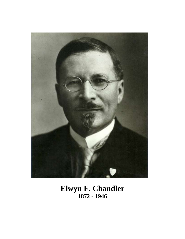

### **Elwyn F. Chandler 1872 - 1946**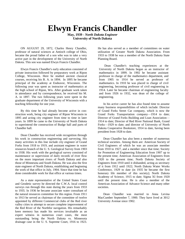## **Elwyn Francis Chandler**

**May, 1939 -** *North Dakota Engineer* **University of North Dakota**

ON AUGUST 29, 1872, Charles Henry Chandler, professor of natural sciences at Antioch college of Ohio, became the proud father of a son who was to take a very active part in the development of the University of North Dakota. This son was named Elwyn Francis Chandler.

Elwyn Francis Chandler's early education consisted of private instruction followed by preparatory work at Ripon College, Wisconsin. Here he studied ancient classical courses, receiving his B. A. in 1894. In 1895 he became principal of the academy at Endeavor, Wisconsin. The following year was spent as instructor of mathematics at the high school of Ripon, Wis. After graduate work taken in attendance and by correspondence, he received his M. A. in 1897. The two following years were spent in the graduate department of the University of Wisconsin with a teaching fellowship for one year.

By this time he had already become active in construction work, being city engineer of Ripon Wisconsin in 1895 and acting city engineer from time to time in later years. In 1899 he came to the University of North Dakota to superintend the construction of Budge hall and parts of Chandler hall.

Dean Chandler has received wide recognition through his work in construction engineering and surveying. His many activities in this line include city engineer of Grand Forks from 1918 to 1919, and assistant engineer in water resources branch of the U. S. Geological Survey from 1903 to 1938. His work with the geological survey consisted of maintenance or supervision of daily records of river flow on the more important rivers of North Dakota and also those of Minnesota and South Dakota. He was also the first state engineer of North Dakota, establishing and beginning the work of that office in July*,* 1904. Since that time he has done considerable work for that office at various times.

As a state representative of the United States Coast and Geodetic survey he directed the C.W.A. local control surveys run through this state during the years from 1933 to 1935. In 1936 he became associate water consultant of the natural resources committee for this region. From 1911 to 1913 he served as chairman of the committee of twelve appointed by different Commercial clubs of the Red river valley cities to attempt to secure complete improvement of the Red River of the Northfor navigation. His remarkably keen memory has made his services invaluable as an expert witness in numerous court cases, the most outstanding being the North Dakota vs. Minnesota drainage case in the U. S. Supreme Court, 1916 to 1923.

He has also served as a member of committees on water utilization of Greater North Dakota Association. From 1933 to 1938 he was a member of the North Dakota State Planning Board.

Dean Chandler's teaching experiences at the University of North Dakota began as an instructor of mathematics in 1899. In 1902 he became assistant professor in charge of the mathematics department, and from 1905 to 1914 he served as professor of mathematics. In 1910 he was placed in charge of civil engineering, becoming professor of civil engineering in 1914. Later he became chairman of engineering faculty and from 1926 to 1932, was dean of the college of engineering.

In his active career he has also found time to assume many business responsibilities of which include: Director of Grand Forks Street Car company, which is now the Grand Forks Transportation company—1914 to date; Director of Grand Forks Building and Loan Association— 1914 to date; Director of Red River National Bank, Grand Forks—1929 to date; and director of University of North Dakota Cooperative Bookstore, 1914 to date, having been president from 1928 to date.

Dean Chandler has also been a member of numerous technical societies. Among them are: American Society of Civil Engineers of which he was an associate member from 1910 to 1927, and a member since that time; Society for Promotion of Engineering Education from 1907 up to the present time; American Association of Engineers from 1920 to the present time; North Dakota Society of Engineers from 1910 until it disbanded, acting as secretary of it from 1912 until 1922; North Dakota Water Works Conference, 1929 to date (in 1935 he became the first honorary life member of this society); North Dakota Academy of Science, 1915 to date; Sigma XI from 1920 until the present time. He is also a member of the American Association of Advance Science and many other societies.

Dean Chandler was married to Anna Levina MacCumber September 7, 1900. They have lived at 3012 University Avenue since 1902.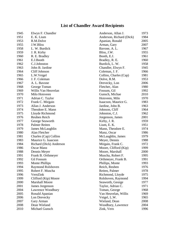### **List of Chandler Award Recipients**

| 1945 | Elwyn F. Chandler       | Anderson, Allan J.       | 1973 |
|------|-------------------------|--------------------------|------|
| 1951 | E. K. Lium              | Anderson, Richard (Dick) | 1984 |
| 1953 | R.M.Dolve               | Apanian, Ronald          | 2005 |
| 1955 | J.W.Bliss               | Arman, Gary              | 2007 |
| 1958 | L. W. Burdick           | Bavone, A. L.            | 1967 |
| 1959 | J. R. Kirby             | Bliss, J.W.              | 1955 |
| 1960 | R. E. Bradley           | Booth, E.J.              | 1961 |
| 1961 | E.J.Booth               | Bradley, R. E.           | 1960 |
| 1962 | C.J.Johnston            | Burdick, L. W.           | 1958 |
| 1963 | John B. Jardine         | Chandler, Elwyn F.       | 1945 |
| 1964 | Cliff Johnson           | Coleman, J. F.           | 1966 |
| 1965 | L.W.Veigel              | Collins, Charles (Cap)   | 1981 |
| 1966 | J. F. Coleman           | Dolve, R.M.              | 1953 |
| 1967 | A. L. Bavone            | Drevecky, Lon            | 2006 |
| 1968 | George Toman            | Fletcher, Alan           | 1980 |
| 1969 | Willis Van Heuvelan     | Fossum, Gil              | 1992 |
| 1970 | Milo Hoisveen           | Gunsch, Michae           | 2010 |
| 1971 | Adrian C. Taylor        | Hoisveen, Milo           | 1970 |
| 1972 | Frank C. Mirgain        | Isaacson, Maurice G.     | 1983 |
| 1973 | Allan J. Anderson       | Jardine, John B.         | 1963 |
| 1974 | Theodore E. Mann        | Johnson, Cliff           | 1964 |
| 1975 | Lloyde Richmond         | Johnston, C.J.           | 1962 |
| 1976 | Reuben Reich            | Jorgenson, James         | 2001 |
| 1977 | George Seaworth         | Kirby, J. R.             | 1959 |
| 1978 | Palmer Reiten           | Lium, E. K.              | 1951 |
| 1979 | James McLaughlin        | Mann, Theodore E.        | 1974 |
| 1980 | Alan Fletcher           | Manz, Oscar              | 1986 |
| 1981 | Charles (Cap) Collins   | McLaughlin, James        | 1979 |
| 1983 | Maurice G. Isaacson     | Meyer, Dennis            | 1988 |
| 1984 | Richard (Dick) Anderson | Mirgain, Frank C.        | 1972 |
| 1986 | <b>Oscar Manz</b>       | Moore, Clifford (Kip)    | 1999 |
| 1988 | Dennis Meyer            | Moore, Marshall          | 2000 |
| 1991 | Frank B. Orthmeyer      | Muscha, Robert F.        | 1995 |
| 1992 | <b>Gil Fossum</b>       | Orthmeyer, Frank B.      | 1991 |
| 1993 | Monte Phillips          | Phillips, Monte          | 1993 |
| 1994 | Raymond Rolshoven       | Reich, Reuben            | 1976 |
| 1995 | Robert F. Muscha        | Reiten, Palmer           | 1978 |
| 1996 | VernZink                | Richmond, Lloyde         | 1975 |
| 1999 | Clifford (Kip) Moore    | Rolshoven, Raymond       | 1994 |
| 2000 | <b>Marshall Moore</b>   | Seaworth, George         | 1977 |
| 2001 | James Jorgenson         | Taylor, Adrian C.        | 1971 |
| 2004 | Lawrence Woodbury       | Toman, George            | 1968 |
| 2005 | Ronald Apanian          | Van Heuvelan, Willis     | 1969 |
| 2006 | Lon Drevecky            | Veigel, L.W.             | 1965 |
| 2007 | Gary Arman              | Wieland, Dean            | 2008 |
| 2008 | Dean Wieland            | Woodbury, Lawrence       | 2004 |
| 2010 | Michael Gunsch          | Zink, Vern               | 1996 |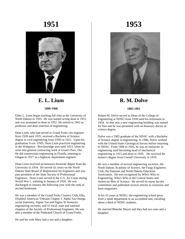

### **E. L. Lium 1896-1968**

Elder L. Lium began teaching full time at the University of North Dakota in 1935. He was named acting dean in 1951, and was promoted to dean in 1952. He retired in 1963 as professor and dean emeritus of engineering.

Dean Lium, who had served as Grand Forks city engineer from 1928 until 1935, received a Bachelor of Science degree in civil engineering from UND in 1921. Upon his graduation from UND, Dean Lium practiced engineering in the Wahpeton - Breckenridge area until 1923, when he went into general contracting work at Grant's Pass, Ore. He did construction engineering in Florida, returning to Oregon in 1927 as a highway department engineer.

Dean Lium received an honorary doctorate degree from the University in 1934. He served six years on the North Dakota State Board of Registration for Engineers and was past president of the State Society of Professional Engineers. Dean Lium served in the U.S. Air Corps during World War I, enlisting in January of 1918. He was discharged in January the following year with the rank of second lieutenant.

He was a member of the Grand Forks Country Club, Elks, Disabled American Veterans Chapter 2, Alpha Tau Omega social fraternity, Sigma Tau and Sigma XI honorary engineering societies, and of local, state and national chapters of the Society of Professional Engineers. He was also a member of the Federated Church of Grand Forks.

## **1951 1953**



**R. M. Dolve**

#### **1883-1961**

Robert M. Dolve served as Dean of the College of Engineering at NDSU from 1928 until his retirement in 1954. In that year a new engineering building was named for him and he was presented with an honorary doctor of science degree.

Dolve was a 1905 graduate of the NDAC with a Bachelor of Science degree in engineering. In 1906, Dolve worked with the United States Geological Survey before returning to NDAC. From 1906 to 1926, he was an instructor in engineering until becoming head of mechanical engineering in 1915 and dean in 1926. He received his master's degree from Cornell University in 1919.

He was a member of several engineering societies, the North Dakota Academy of Science, the Fargo Engineers Club, the National and North Dakota Education Association. He was recognized by Who's Who in Engineering, Who's Who in the Central States and American Men of Science. He served on many faculty committees and published several articles in extension and farm magazines.

In his 55 years at NDSU, the engineering school grew from a small department to an accredited unit, enrolling about a third of NDSU students.

He married Blanche Moyer and they had two sons and a daughter.

He and his wife Mary had a son and a daughter.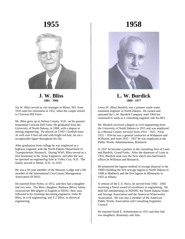

**J. W. Bliss 1885 - 1966**

Jay W. Bliss served as city manager in Minot, ND, from 1933 until his retirement in 1952, when the couple retired to Crescent Hill Farm.

Mr. Bliss grew up in Nelson County, N.D., on his parents' homestead Crescent Hill Farm. He graduated from the University of North Dakota, in 1908, with a degree in mining engineering. He played on UND's football team. At well over 6 feet tall and with bright red hair, he cut a recognizable figure throughout his life.

After graduation from college he was employed as a highway engineer with the North Dakota Department of Transportation, Bismarck. During WWI, Bliss served as a first lieutenant in the Army Engineers, and after the war, he operated an engineering firm at Valley City, N.D. The family moved to Minot, N.D., in 1933.

He was a 50-year member of the Masonic Lodge and a life member of the International City/County Management Association (ICMA).

He married Elsie Nylen, in 1912, and they had a daughter and two sons. The Bliss' daughter, Barbara (Bliss) Adam, received her MS degree in English at NDSU; their sons followed in his footsteps becoming engineers--John W. Bliss, in civil engineering, and T.J. Bliss, in electrical engineering.

## **1958**



**L. W. Burdick 1888 - 1977**

Leroy W. (Roy) Burdick was a pioneer waste water treatment engineer in North Dakota. He owned and operated the L.W. Burdick Company until 1964 but continued to work as a consulting engineer into his 80's.

Mr. Burdick received a degree in civil engineering from the University of North Dakota in 1915 and was employed as a Benson County surveyor from 1914 - 1922. From 1922 - 1934 he was a general contractor at Wahpeton and Williston, and from 1935 - 1937 he was employed at the Public Works Administration, Bismarck.

In 1937 he became a partner in the consulting firm of Lium and Burdick, Grand Forks. After the departure of Lium in 1955, Burdick took over the firm which also had branch offices in Williston and Bismarck.

He pioneered the lagoon method of sewage disposal in the 1940's building the first sewage lagoon in North Dakota in 1948 at Maddock and the first lagoon in Minnesota in 1955 at Albany.

A veteran of the U.S. Navy, he served from 1942 - 1945 receiving a Naval award of excellence in engineering. He held life memberships in NDSPE, the North Dakota Water and Sewage Association and the American Waterworks Association. He was also a member of the American Public Works Association and Consulting Engineers Council.

He married Sarah E. Schoeneman in 1915 and they had two daughters, Rosemary and Alta.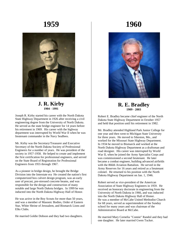

#### **J. R. Kirby 1904 - 1991**

Joseph R. Kirby started his career with the North Dakota State Highway Department in 1926 after receiving a civil engineering degree from the University of North Dakota. He served as the state bridge engineer for 14 years before his retirement in 1969. His career with the highway department was interrupted by World War II when he was lieutenant commander in the Navy SeaBees.

Mr. Kirby was the Secretary/Treasurer and Executive Secretary of the North Dakota Society of Professional Engineers for a number of years. He was president of the society in 1957-1958. He helped to create and implement the first certification for professional engineers, and served on the State Board of Registration for Professional Engineers from 1955 through 1967.

As a pioneer in bridge design, he brought the Bridge Division into the Interstate era He created the nation's first computerized box culvert design program, was an early user of precast, pre-stressed concrete beams, and was responsible for the design and construction of many notable and large North Dakota bridges. In 1999 he was inducted into the North Dakota Highway Hall of Honor.

He was active in the Boy Scouts for more than 50 years, and was a member of Masonic Bodies, Order of Eastern Star, White Shrine of Jerusalem, and Bismarck Lions and Elks Clubs.

He married Goldie Dobson and they had two daughters.

## **1960**



**R. E. Bradley 1909 - 2003**

Robert E. Bradley became chief engineer of the North Dakota State Highway Department in October 1957 and held that position until his retirement in 1982.

Mr. Bradley attended Highland Park Junior College for one year and then went to Michigan State University for three years. He moved to Sikeston, Mo., and worked for the Missouri State Highway Department. In 1934 he moved to Bismarck and worked at the North Dakota Highway Department as a draftsman and road designer. His career was interrupted by World War II, when he joined the Army Specialist Corps and was commissioned a second lieutenant. He later became a combat engineer, building advanced airfields with the 866th Aviation Battalion. He served in the Army Reserves for 16 years and retired as a lieutenant colonel. He returned to his position with the North Dakota Highway Department on Jan. 1, 1946.

Robert served as vice-president of the American Association of State Highway Engineers in 1959. He received an honorary doctorate in engineering from the University of North Dakota in 1966, and was inducted into the North Dakota Highway Hall of Honor. He was a member of McCabe United Methodist Church for 68 years, served as superintendent of the Sunday school for many years and was chairman of the Administrative Board at McCabe.

He married Mary Cornelia "Connie" Randol and they had one daughter. He later married Gwen Tucker.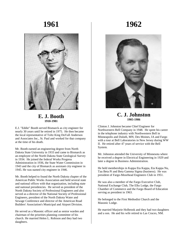

#### **E. J. Booth 1910-1981**

E.J. "Eddie" Booth served Bismarck as city engineer for nearly 30 years until he retired in 1975. He then became the local representative of Toltz King DuVall Anderson and Associates Inc., St. Paul and worked for that company at the time of his death.

Mr. Booth earned an engineering degree from North Dakota State University in 1933 and came to Bismarck as an employee of the North Dakota State Geological Survey in 1934. He joined the federal Works Progress Administration in 1936, the State Water Commission in 1943 and the city of Bismarck as assistant city engineer in 1945. He was named city engineer in 1946.

Mr. Booth helped to found the North Dakota chapter of the American Public Works Association and held several state and national offices with that organization, including state and national presidencies. He served as president of the North Dakota Society of Professional Engineers and also served as a director of the National Society of Professional Engineers, president of the North Dakota Water and Sewage Conference and director of the American Road Builders' Association's Municipal and Airport Division.

He served as a Masonic officer and as senior warden and chairman of the priorities planning committee of his church. He married Helen L. Robison and they had two daughters.

## **1962**



**C. J. Johnston 1905-1986**

Clinton J. Johnston became Chief Engineer for Northwestern Bell Company in 1948. He spent his career in the telephone industry with Northwestern Bell in Minneapolis and Duluth, MN; Des Moines, IA and Fargo with a tour at Bell Laboratories in New Jersey during WW II. He retired after 47 years of service with the Bell System.

Mr. Johnston attended the University of Minnesota where he received a degree in Electrical Engineering in 1929 and later a degree in Business Administration.

He held memberships in Kappa Eta Kappa, Eta Kappa Nu, Tau Beta Pi and Beta Gamma Sigma (business). He was president of Fargo-Moorhead Engineers Club in 1951.

He was also a member of the Fargo Executive Club, National Exchange Club, The Elks Lodge, the Fargo Chamber of Commerce and the Fargo Board of Education serving as president in 1963.

He belonged to the First Methodist Church and the Masonic Lodge.

He married Marjorie Holbrook and they had two daughters and a son. He and his wife retired to Las Cruces, NM.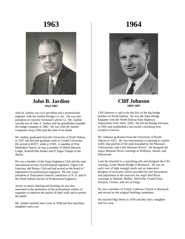

#### **John B. Jardine 1914-1963**

John B. Jardine was vice president and a professional engineer with the Jardine Bridge Co. Inc. He was also president of Concrete Sectional Culvert Co. Mr. Jardine was the son of John A. Jardine and his grandfather founded the bridge company in 1882. He was with the Jardine companies from 1938 until the time of his death.

Mr. Jardine graduated from the University of North Dakota in 1937 and did post graduate work at Cornell University. He served in ROTC while at UND. A member of First Methodist Church, he was a member of Shiloh Masonic Lodge, Scottish Rite bodies and El Zagal Temple of the Shrine.

He was a member of the Fargo Engineers Club and the state and national society of professional engineers, Sigma Chi fraternity and Rotary Club and had served on the board of registration for professional engineers. He was a past president of Associated General Contractors of N. D. and of the North Dakota Society of Professional Engineers.

Active in tennis, hunting and bowling, he was also interested in the promotion of the professional welfare of engineers to improve the quality of their work and to protect the public.

Mr. Jardine married Jane Lontz in 1938 and they had three daughters and a son.

## **1964**



#### **Cliff Johnson 1899-1987**

Cliff Johnson is said to be the first of the big bridge builders in North Dakota. He was the State Bridge Engineer with the North Dakota State Highway Department from 1924 -1945. He left the Bridge Division in 1945 and established a successful consulting firm located at Denver.

Mr. Johnson graduated from the University of North Dakota in 1922. He was instrumental in opening to routine traffic that portion of the state bounded by the Missouri, Yellowstone, and Little Missouri Rivers. He designed the major Missouri River crossings at Williston, Sanish, and Elbowoods.

Later he returned in a consulting role and designed the I-94 crossing -Grant Marsh Bridge in Bismarck. He was an early user of high strength steels and an innovative designer of structures which provided for soil movements and adjustment in the structure for major Red River crossings at Halstad, Shelley, Nielsville, Grand Forks, Drayton, Climax, and two at Fargo.

He was a member of Trinity Lutheran Church in Bismarck and served on the original building committee.

He married Olga Steen in 1930 and they had a daughter and two sons.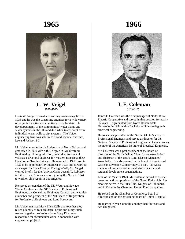

#### **L. W. Veigel 1909-1995**

Louis W. Veigel opened a consulting engineering firm in 1938 and he was the consulting engineer for a wide variety of projects for cities and counties across the state. He developed many of the communities' water plants and sewer systems in the 30's and 40's when towns went from individual water wells to city systems. The Veigel engineering firm was sold in 1973 and became Kadrmas, Lee and Jackson PC.

Mr. Veigel enrolled at the University of North Dakota and graduated in 1930 with a B.S. degree in Architectural Engineering. After graduation, he worked for several years as a structural engineer for Western Electric at their Hawthorne Plant in Chicago. He returned to Dickinson in 1932 to be appointed City Engineer in 1933 and to work as a surveyor for Stark County. During WWII, Mr. Veigel worked briefly for the Army at Camp Joseph T. Robinson in Little Rock, Arkansas before joining the Navy in 1944 to work on ship repair in Los Angeles.

He served as president of the ND Water and Sewage Works Conference, the ND Society of Professional Engineers, the Consulting Engineers Council, and was also a member and president of the ND Board of Registration for Professional Engineers and Land Surveyors.

Mr. Veigel married Mary Ellen Kelly and together they raised a family of four children. Louie and Mary Ellen worked together professionally as Mary Ellen was responsible for architectural work in connection with engineering projects.

## **1966**



#### **J. F. Coleman 1912-1978**

James F. Coleman was the first manager of Nodal Rural Electric Cooperative and served in that position for nearly 36 years. He graduated from North Dakota State University in 1934 with a Bachelor of Science degree in electrical engineering.

He was a past president of the North Dakota Society of Professional Engineers and served as director for the National Society of Professional Engineers. He also was a member of the American Institute of Electrical Engineers.

Mr. Coleman was a past president of the board of directors of the North Dakota Water Users Association and chairman of the state's Rural Electric Managers' Association. He also served on the board of directors of Garrison Diversion Conservancy District. He was a member of numerous other rural electrification and regional development organizations.

Lion of the Year in 1973, Mr. Coleman served as district governor and past president of the Grand Forks club. He also was active in the Elks Club, Knights of Columbus, and in Community Chest and United Fund campaigns.

He served on the Chamber of Commerce board of directors and on the governing board of United Hospital.

He married Alyce Connolly and they had four sons and two daughters.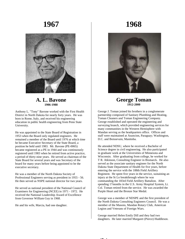

#### **A. L. Bavone 1906-1988**

Anthony L. "Tony" Bavone worked with the First Health District in North Dakota for nearly forty years. He was born in Rome, Italy, and received his engineering education in public health engineering from Penn State University.

He was appointed to the State Board of Registration in 1953 when the Board only regulated engineers. He remained a member of the Board until 1976 at which time he became Executive Secretary of the State Board, a position he held until 1983. Mr. Bavone (PE-0065) became registered as a PE in 1944 and was continuously registered until 1983 when he retired from active practice, a period of thirty-nine years. He served as chairman of the State Board for several years and was Secretary of the board for many years before being appointed to be the executive secretary.

He was a member of the North Dakota Society of Professional Engineers serving as president in 1955 - 56. He then served as NSPE national director for two years.

He served as national president of the National Council of Examiners for Engineering (NCEE) in 1971 - 1972. He received the National Leadership Award of Excellence from Governor William Guy in 1968.

He and his wife, Marcia, had one daughter.

## **1968**



#### **George Toman 1912-2000**

George J. Toman joined his brothers in a conglomerate partnership composed of Sanitary Plumbing and Heating, Toman Cleaners and Toman Engineering Company. George established and operated the engineering and surveying branch, which provided engineering services for many communities in the Western Hemisphere with Mandan serving as the headquarters office. Offices and staff were maintained at Asuncion, Paraguay; Washington, D.C. and Boissevain, Manitoba.

He attended NDSU, where he received a Bachelor of Science degree in civil engineering. He also participated in graduate work at the Universities of Minnesota and Wisconsin. After graduating from college, he worked for T R. Atkinson, Consulting Engineer in Bismarck. He also served as the associate sanitary engineer for the North Dakota State Department of Health for five years, before entering the service with the 188th Field Artillery Regiment. He spent five years in the service, sustaining an injury at the St Lo breakthrough where he was commanding the 183rd Field Artillery Battalion. After spending 17months in the U.S. Army Hospital System, Lt. Col. Toman retired from the service. He was awarded the Purple Heart and the Bronze Star Medal.

George was a member of NDSPE and the first president of the North Dakota Consulting Engineers Council. He was a member of the Masons, Mandan Rotary Club, American Legion and Veterans of Foreign Wars.

George married Helen Emily Dill and they had two daughters. He later married Margaret (Pierce) Huddleson.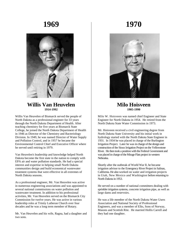

#### **Willis Van Heuvelen 1914-1992**

Willis Van Heuvelen of Bismarck served the people of North Dakota as a professional engineer for 33 years through the North Dakota Department of Health. After teaching chemistry for five years at Bismarck State College, he joined the North Dakota Department of Health in 1946 as Director of the Chemistry and Bacteriology Division. In 1949, he was named Director of Water Supply and Pollution Control, and in 1957 he became the Environmental Control Chief and Executive Officer where he served until retiring in 1979.

Van Heuvelen's leadership and knowledge helped North Dakota become the first state in the nation to comply with EPA air and water pollution standards. He had a special interest and expertise in helping small North Dakota communities design and build economical wastewater treatment systems that were effective in all extremes of North Dakota seasons.

As a professional engineer, Mr. Van Heuvelen was active in numerous engineering associations and was appointed to several national commissions on water pollution and wastewater treatment. In addition to his professional activities, Mr. Van Heuvelen served on the Bismarck City Commission for twelve years. He was active in various leadership roles at Trinity Lutheran Church over four decades and he was a long term member of Rotary.

Mr. Van Heuvelen and his wife, Ragna, had a daughter and two sons.

## **1970**



#### **Milo Hoisveen 1905-1990**

Milo W. Hoisveen was named chief Engineer and State Engineer for North Dakota in 1954. He retired from the North Dakota State Water Commission in 1973.

Mr. Hoisveen received a civil engineering degree from North Dakota State University and his initial work in hydrology started with the North Dakota State Engineer in 1931. In 1934 he was placed in charge of the Burlington Irrigation Project. Later he was in charge of the design and construction of the Sioux Irrigation Project on the Yellowstone River. He then took a position with the Federal Government and was placed in charge of the Mirage Flats project in western Nebraska.

Shortly after the outbreak of World War II, he became irrigation advisor to the Emergency River Project in Salinas, California. He also worked on water and irrigation projects in Utah, New Mexico and Washington before returning to North Dakota in 1953.

He served on a number of national committees dealing with sprinkler irrigation systems, concrete irrigation pipe, as well as large dams and reservoirs.

He was a life member of the North Dakota Water Users Association and National Society of Professional Engineers, and was a member of Elks, Sons of Norway, Masons and Scottish Rite. He married Hollis Carrell and they had one daughter.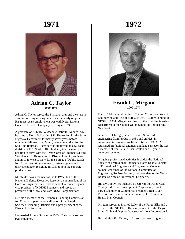

#### **Adrian C. Taylor 1909-1975**

Adrian C. Taylor served the Bismarck area and the state in various civil engineering capacities for nearly 40 years. His most recent employment was with North Dakota Concrete Products Company, retiring in 1974.

A graduate of Auburn Polytechnic Institute, Auburn, AL., he came to North Dakota in 1931. He worked for the State Highway Department for nearly seven years before moving to Minneapolis, Minn., where he worked for the Soo Line Railroad. Later he was employed by a railroad division of U.S. Steel in Birmingham, Ala., leaving that position to serve with the Army Corps of Engineers during World War II. He returned to Bismarck as city engineer and in 1946 went to work for the Bureau of Public Roads for 11 years as bridge engineer, design engineer and district engineer, resigning in 1957 to join the concrete products firm.

Mr. Taylor was a member of the FHWA Unit of the National Defense Executive Reserve, a commandant of the Corps of Engineers state reserve school, a former regional vice-president of NDSPE Engineers and served as president of the local and state NDSPE organizations.

He was a member of the Bismarck Planning Commission for 23 years; a past national director of the American Society of Planning Officials and a past president of the Bismarck Rotary Club.

He married Ardeth Gussner in 1935. They had a son and two daughters.

## **1972**



#### **Frank C. Mirgain 1909-1977**

Frank C. Mirgain retired in 1975 after 20 years as Dean of Engineering and Architecture at NDSU. Before coming to NDSU in 1954, Mirgain was head of the Civil Engineering Department at the Cooper Union School of Engineering, New York.

A native of Chicago, he received a B.S. in civil engineering from Purdue in 1931 and an M.S. in environmental engineering from Rutgers in 1933. A registered professional engineer and land surveyor, he was a member of Tau Beta Pi, Chi Epsilon and Sigma Xi, honorary societies.

Mirgain's professional activities included the National Society of Professional Engineers, North Dakota Society of Professional Engineers and Engineering College council; chairman of the National Committee on Engineering Registration and; past president of the North Dakota Society of Professional Engineers.

His civic activities included director of the Fargo Cass County Industrial Development Corporation; director, Fargo Chamber of Commerce; president, Red River Research Associates and chairman, N. D. Comprehensive Health Plan Council.

Mirgain served as Exalted.Ruler of the Fargo Elks and a trustee of the ND Elks. He was president of the Fargo Lions Club and Deputy Governor of Lions International.

He and his wife, Velma, had a son and two daughters.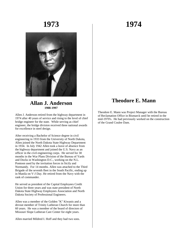

#### **Allan J. Anderson 1908-1997**

Allen J. Anderson retired from the highway department in 1974 after 40 years of service and rising to the level of chief bridge engineer for the state. While serving as chief engineer, the bridge division received three national awards for excellence in steel design.

After receiving a Bachelor of Science degree in civil engineering in 1933 from the University of North Dakota, Allen joined the North Dakota State Highway Department in 1934. In July 1942 Allen took a leave of absence from the highway department and joined the U.S. Navy as an officer in the civil engineering corps. He served for 30 months in the War Plans Division of the Bureau of Yards and Docks in Washington D.C., working on the N.L. Pontoon used by the invitation forces in Sicily and Normandy. For 14 months. Allen was attached to the Third Brigade of the seventh fleet in the South Pacific, ending up in Manila on V-J Day. He retired from the Navy with the rank of commander.

He served as president of the Capital Employees Credit Union for three years and was state president of North Dakota State Highway Employees Association and North Dakota Society of Professional Engineers.

Allen was a member of the Golden "K" Kiwanis and a devout member of Trinity Lutheran Church for more than 60 years. He was a member of the board of directors of Missouri Slope Lutheran Care Center for eight years.

Allen married Mildred I. Hoff and they had two sons.

## **1974**

### **Theodore E. Mann**

Theodore E. Mann was Project Manager with the Bureau of Reclamation Office in Bismarck until he retired in the mid-1970's. He had previously worked on the construction of the Grand Coulee Dam.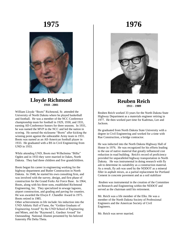

#### **Lloyde Richmond 1910 - 2001**

William Lloyde "Boots" Richmond, Sr. attended the University of North Dakota where he played basketball and football. He was a member of the NCC Conference championship team for football in 1929, 1930, and 1931, earning All-Conference honors for three seasons. In 1931, he was named the MVP in the NCC and led the nation in scoring. He earned the nickname "Boots" after kicking the winning point against the unbeatable Army team in 1931. Boots was named as an All-American football player in 1933. He graduated with a BS in Civil Engineering from UND in 1933.

While attending UND, Boots met Wilhelmina "Billie" Ogden and in 1933 they were married in Oakes, North Dakota. They had three children and five grandchildren.

Boots began his career in engineering working for the highway department and Butler Construction in North Dakota. In 1948, he started his own consulting firm, and was involved with the survey, design, and first phase of construction for the Grand Forks Air Force Base. In 1964, Boots, along with his three sons, established Richmond Engineering, Inc. They specialized in sewage lagoons, airport construction, and grading and paving for counties. He was awarded the Elwyn F. Chandler Award in 1975. Boots retired in 1985.

Other achievements in life include: his induction into the UND Athletic Hall of Fame, the "Golden Graduate of Engineering Award" by the UND School of Engineering and Mines, and the "Raymond L. Gardner Award" for Outstanding National Alumni presented by his beloved fraternity Phi Delta Theta.

## **1976**



#### **Reuben Reich 1911 - 1989**

Reuben Reich worked 33 years for the North Dakota State Highway Department as a materials engineer retiring in 1977. He then worked part time for Kadrmas, Lee and Jackson.

He graduated from North Dakota State University with a degree in Civil Engineering and worked for a time with Rue Construction, a bridge contractor.

He was inducted into the North Dakota Highway Hall of Honor in 1976. He was recognized for his efforts leading to the use of native material that greatly influenced cost reduction in road building. Reich's record of proficiency provided for unparalleled highway transportation in North Dakota. He was instrumental in doing research with fly ash to determine its suitability as a construction material. As a result, fly ash was used by the NDDOT as a mineral filler in asphalt mixes, as a partial replacement for Portland Cement in concrete pavement and as a soil stabilizer

Reuben was instrumental in the creation of the Committee on Research and Engineering within the NDDOT and served as the chairman until his retirement.

Mr. Reich was a life member of the Elks. He was a member of the North Dakota Society of Professional Engineers and the American Society of Civil Engineers.

Mr. Reich was never married.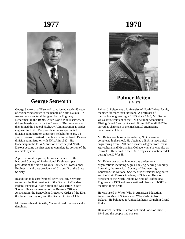

### **George Seaworth**

George Seaworth of Bismarck contributed nearly 45 years of engineering service to the people of North Dakota. He worked as a structural designer for the Highway Department in the 1930s. After World War II service, he did engineering work for the Bureau of Reclamation and then joined the Federal Highway Administration as bridge engineer in 1957. Ten years later he was promoted to division administrator, a position he held for nearly 13 years. Seaworth retired from his position as North Dakota division administrator with FHWA in 1980. His leadership in the FHWA division office helped North Dakota become the first state to complete its portion of the interstate system.

A professional engineer, he was a member of the National Society of Professional Engineers, past president of the North Dakota Society of Professional Engineers, and past president of Chapter 3 of the State Society.

In addition to his professional activities, Mr. Seaworth served as the first president of the Bismarck-Mandan Federal Executive Association and was active in Boy Scouts. He was a member of the Reserve Officers' Association, the Benevolent Protective Order of the Elks, the American Legion, and the Bismarck Lions Club.

Mr. Seaworth and his wife, Margaret, had five sons and a daughter.

**1978**



#### **Palmer Reiten 1917-1979**

Palmer J. Reiten was a University of North Dakota faculty member for more than 30 years. A professor of mechanical engineering at UND since 1948, Mr. Reiten was a 1975 recipient of the UND Alumni Association Distinguished Service Award. From 1961 until 1967 he served as chairman of the mechanical engineering department at UND.

Mr. Reiten was born in Petersburg, N.D. where he completed high school. He obtained a B.S. in mechanical engineering from UND and a master's degree from Texas Agricultural and Mechanical College where he was also an instructor. He served in the U.S. Army as an aviation cadet during World War II.

Mr. Reiten was active in numerous professional organizations including Sigma Tau engineering honorary fraternity, the American Society of Engineering Education, the National Society of Professional Engineers and the North Dakota Academy of Science. He was president of the North Dakota Society of Professional Engineers in 1969 and was a national director of NSPE at the time of his death.

He was listed in Who's Who in American Education, American Men of Science and, Who's Who in North Dakota. He belonged to United Lutheran Church in Grand Forks.

He married Beulah C. Jenson of Grand Forks on June 6, 1946 and the couple had one son.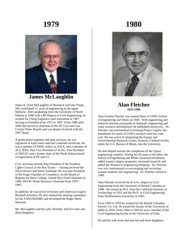

### **James McLaughlin**

James R. (Jim) McLaughlin of Bismarck and later Fargo, ND contributed 51 years of engineering to the upper Midwest. After graduating from the University of North Dakota in 1948 with a BS Degree in Civil Engineering, he worked for Ulteig Engineers until retirement in 1987, serving as President from 1975 to 1987. From 1988 until 2000 Jim served as chairman of the SE Cass and Cass County Water Boards and was deeply involved with the 1997 flood.

A professional engineer and land surveyor, he was registered in eight states and had a national certificate. He was a member of NSPE, fellow in ASCE, and a member of ACI, IEEE, Past Vice President of ACEC, Past President of NDCEC and a former chair of the North Dakota board of registration of PE and LS.

Civic activities include Past President of the Northern Lights Council of the Boy Scouts — having received the Silver Beaver and Silver Antelope. He was also President of the Fargo Chamber of Commerce, on the Board of Regents for Mary College, United Way Fund Chairman in 1984, MCOG Water Resource Chairman from 1979 - 1985.

In addition, he was active in hockey and American Legion Baseball activities. He also chaired the steering committee for the FARGODOME and developed the Roger Maris Museum.

Mr. McLaughlin and his wife, Dorothy, had five sons and three daughters.

## **1980**



#### **Alan Fletcher 1925-1999**

Alan Gordon Fletcher was named Dean of UND's School of Engineering and Mines in 1969. With engineering and research interests principally in hydraulic engineering and water resource development, he published extensively. Dr. Fletcher was instrumental in forming Project Lignite, the foundation for much of UND's research with low-rank coal. He was active in integrating the Energy and Environmental Research Center, formerly a federal facility under the U.S. Bureau of Mines, into the University.

He also helped oversee the completion of the Upson engineering complex. During his 20 years at the helm, the School of Engineering and Mines increased enrollment, added master's degree programs, increased research, and added the Women in Engineering Program. Dr. Fletcher was very instrumental in encouraging and recruiting women students into engineering. Dr. Fletcher retired in 1989.

Alan Fletcher received the B.A.Sc. degree in Civil Engineering from the University of British Columbia in 1948. He earned an M.S. from the California Institute of Technology in 1952 and the Ph.D. in Civil Engineering from Northwestern University in 1965.

From 1958 to 1959 he worked for the British Columbia Electric Co. Ltd. He joined the faculty of the University of Idaho in 1959. From 1964 to 1969 he was a member of the Civil Engineering faculty at the University of Utah.

He and his wife Irene had one son and three daughters.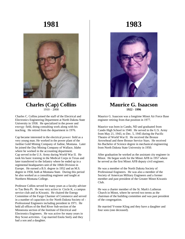

#### **Charles (Cap) Collins**  $1910 - 2008$

Charles C. Collins joined the staff of the Electrical and Electronics Engineering Department at North Dakota State University in 1958. He specialized in the power and energy field, doing consulting work along with his teaching. He retired from the department in 1976.

Cap became interested in the electrical power field as a very young man. He worked in the power plant of the Jardine Gold Mining Company of Judine, Montana. Later he joined the Day Mining Company of Wallace, Idaho where he worked in the accounting department. Cap served in the U.S. Army during World War II. He took his basic training in the Medical Corps in Texas and later transferred to the Infantry where he ended up in a regimental headquarters unit of the 106th Division in Europe. He earned a B.S. degree in 1952 and an M.S. degree in 1958, both at Montana State. During this period he also worked as a consulting engineer and taught at Northern Montana College.

Professor Collins served for many years as a faculty adviser to Tau Beta Pi. He was very active in Circle K, a campus service club and in Kiwanis. He chaired the Energy Committee of the Fargo Charmer of Commerce and served in a number of capacities in the North Dakota Society of - Professional Engineers including president in 1971. He held all offices of the Red River Sub-section of the Minnesota section of the Institute of Electrical and Electronics Engineers. He was active for many years in Boy Scout activities. Cap married Enola Seely and they had a son and a daughter.

## **1983**



#### **Maurice G. Isaacson 1922 - 1996**

Maurice G. Isaacson was a longtime Minot Air Force Base engineer retiring from that position in 1977.

Maurice was born in Cando, ND and graduated from Cando High School in 1940. He served in the U.S. Army from May 21, 1943, to Dec. 5, 1945 during the Pacific Theatre of World War II. He received the Bronze Arrowhead and three Bronze Service Stars. He received his Bachelor of Science degree in mechanical engineering from North Dakota State University in 1950.

After graduation he worked as the assistant city engineer in Minot. He began work for the Minot AFB in 1957 where he served as the first Minot AFB deputy civil engineer.

He was a member of the North Dakota Society of Professional Engineers. He was also a member of the Society of American Military Engineers and a former member and past president of the Greater Minot Kiwanis Club.

He was a charter member of the St. Mark's Lutheran Church in Minot, where he served two terms as the chairman of the building committee and was past president of the congregation.

He married Yvonne Kling and they have a daughter and four sons (one deceased).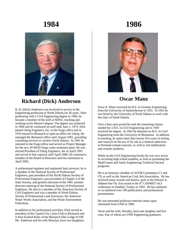

### **Richard (Dick) Anderson**

R. D. (Dick) Anderson was involved in service to the Engineering profession in North Dakota for 36 years. After graduating with a Civil Engineering degree in 1966, he became a member of the staff at NDSU, teaching and working on his Master's degree. The degree was achieved in 1969 and he continued on staff until June 1, 1974. Dick joined Ulteig Engineers, Inc. in the Fargo office and in 1976 moved to Bismarck to open an office for Ulteig. He managed the Bismarck office until August 1991, providing consulting services to western North Dakota. In 1991 he returned to the Fargo office and served as Project Manager for the new 30 MGD Fargo water treatment plant. He was elected President of Ulteig Engineers, Inc in April 1993 and served in that capacity until April 2000. He remained a member of the Board of Directors until his retirement in April 2002.

A professional engineer and registered land surveyor, he is a member of the National Society of Professional Engineers, past president of the North Dakota Society of Professional Engineers, past president of Chapter 4 of the State Society, and general chairman of the 1981 summer directors meeting of the National Society of Professional Engineers. He also is a member of the American Society of Civil Engineers and was a member of North Dakota Society of Professional Land Surveyors, the American Water Works Association, and the Water Environment Federation.

In addition to his professional activities, Dick served as president of the Capitol City Lions Club in Bismarck and is Past Exalted Ruler of the Bismarck Elks Lodge #1199. Mr. Anderson and his wife Marylyn, have two daughters.

## **1986**



### **Oscar Manz**

Oscar E. Manz received his B.S. in Ceramic Engineering from the University of Saskatchewan in 1951. In 1952 he was hired by the University of North Dakota to work with the clays of North Dakota.

Over a four-year period he took the remaining classes needed for a B.S. in Civil Engineering and in 1959 received his degree. In 1962 he obtained an M.S. in Civil Engineering from the University of Minnesota. In addition to teaching, he spent more than twenty five years in testing and research on the use of fly ash as a mineral admixture in Portland cement concrete, as well as soil stabilization and ceramic products.

While on the Civil Engineering faculty he was very active in recruiting high school students, as well as promoting the MathCounts and Junior Engineering Technical Society programs.

He is an honorary member of ASTM Committees C1 and C9, as well as the American Coal Ash Association. He has received many awards and honors, such as the Edward A. Abdum-Nur Fly Ash award at the  $4<sup>th</sup>$  CANMET-ACI conference in Istanbul, Turkey in 1992. He has authored or co-authored over 100 publications and professional presentations.

He was presented professor emeritus status upon retirement from UND in 1989.

Oscar and his wife, Dorothy, have one daughter and five sons, four of whom are UND Engineering graduates.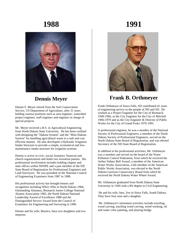

### **Dennis Meyer**

Dennis F. Meyer retired from the Soil Conservation Service, US Department of Agriculture, after 31 years holding various positions such as area engineer, watershed project engineer, staff engineer and engineer in charge of special projects.

Mr. Meyer received a B.S. in Agricultural Engineering from North Dakota State University. He has been credited with designing the "Dakota System" and the "Mini-Dakota System" for handling agricultural waste in a safe and cost efficient manner. He also developed a Hydraulic Irrigation Intake Structure to provide a simple, economical and lowmaintenance intake structure for irrigation systems.

Dennis is active in civic, social, business/ financial and church organizations and holds two invention patents. His professional involvement includes holding chapter and state offices within NDSPE and a past member of the ND State Board of Registration for Professional Engineers and Land Surveyors. He was president of the National Council of Engineering Examiners from 1987 to 1988.

His professional activity has brought honors and recognition including Who's Who in North Dakota 1984; Outstanding Alumnus, Bismarck Junior College National Alumni Association 1985, the North Dakota National Leadership Award of Excellence 1988 and the Distinguished Service Award from the Council of Examiners for Engineering and Surveying in 1996.

Dennis and his wife, Bernice, have two daughters and two stepsons.

## **1991**



### **Frank B. Orthmeyer**

Frank Orthmeyer of Sioux Falls, SD contributed 41 years of engineering service to the people of ND and SD. He worked as a Project Engineer for the City of Bismarck 1949-1966, as the City Engineer for the City of Mitchell 1966-1970 and as the City Engineer & Director of Public Works for the City of Grand Forks 1970-1991.

A professional engineer, he was a member of the National Society of Professional Engineers, a member of the North Dakota Society of Professional Engineers, served on the North Dakota State Board of Registration, and was elected Secretary of the ND State Board of Registration.

In addition to his professional activities, Mr. Orthmeyer was a member and served on the board of the Water Pollution Control Federation, from which he received the Arthur Sidney Bell Award, a member of the American Water Works Association, a life member of the American Public Works Association, was elected to the North Dakota Garrison Conservancy Board from which he received the North Dakota Water Wheel Award.

Mr. Orthmeyer graduated from North Dakota State University in 1949 with a BS degree in Civil Engineering.

He and his wife, Inez, live in Sioux Falls, South Dakota. They have four sons and a daughter.

Mr. Orthmeyer's retirement activities include traveling, wood carving, teaching wood carving, wood working, oil and water color painting, and playing bridge.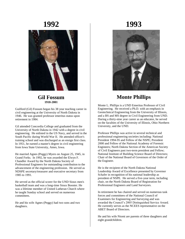

#### **Gil Fossum 1918-2001**

Guilford (Gil) Fossum began his 38 year teaching career in civil engineering at the University of North Dakota in 1946. He was granted professor emeritus status upon retirement in 1984.

Gil attended Concordia College and graduated from the University of North Dakota in 1942 with a degree in civil engineering. He enlisted in the US Navy, and served in the South Pacific during World War II. He attended officer's training school and was discharged as an ensign first class. In 1951, he earned a master's degree in civil engineering from Iowa State University, Ames, Iowa.

He married Agnes (Peggy) Myers on August 25, 1945, in Grand Forks. In 1992, he was awarded the Elwyn F. Chandler Award by the North Dakota Society of Professional Engineers for outstanding contribution to the advancement of the engineering profession. He served as NDSPE secretary/treasurer and executive secretary from 1985 to 1991.

He served as the official scorer for the UND Sioux men's basketball team and was a long-time Sioux Booster. He was a lifetime member of United Lutheran Church where he taught Sunday school and served on numerous committees.

He and his wife Agnes (Peggy) had two sons and two daughters.

**1993**



### **Monte Phillips**

Monte L. Phillips is a UND Emeritus Professor of Civil Engineering. He received a Ph.D. with an emphasis in Geotechnical Engineering from the University of Illinois, and a BS and MS degree in Civil Engineering from UND. During a thirty-nine year career as an educator, he served on the faculties of the University of Illinois, Ohio Northern University, and the UND.

Professor Phillips was active in several technical and professional engineering societies including: National President 1994-95 and Fellow of the NSPE; President 2000 and Fellow of the National Academy of Forensic Engineers; North Dakota Section of the American Society of Civil Engineers past two-term president and Fellow; National Institute of Building Science Board of Directors; Chair of the National Board of Governors of the Order of the Engineer.

He is the recipient of the North Dakota National Leadership Award of Excellence presented by Governor Schafer in recognition of his national leadership as president of NSPE. He served a five-year term, including chair, on the North Dakota Board of Registration for Professional Engineers and Land Surveyors.

In retirement he has chaired and served on numerous task forces and committees of the National Council of Examiners for Engineering and Surveying and was awarded the Council's 2005 Distinguished Service Award. He currently serves as the NCEES representative on the ABET Board of Directors.

He and his wife Niomi are parents of three daughters and eight grandchildren.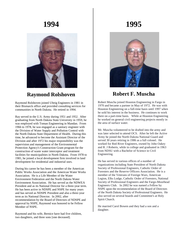

### **Raymond Rolshoven**

Raymond Rolshoven joined Ulteig Engineers in 1981 in their Bismarck office and provided consulting services for communities in North Dakota. He retired in 1994.

Ray served in the U.S. Army during 1951 and 1952. After graduating from North Dakota State University in 1959, he was employed with Toman Engineering in Mandan. From 1966 to 1978, he was engaged as a sanitary engineer with the Division of Water Supply and Pollution Control with the North Dakota State Department of Health. During this time, he advanced to become the Assistant Director of the Division and after 1972 his major responsibility was the supervision and management of the Environmental Protection Agency's Construction Grant program for the construction of waste water interceptor and treatment facilities for municipalities in North Dakota. From 1978 to 1981, he joined a local development firm involved in land development for residential and industrial uses.

During his career he has been a member of the American Public Works Association and the American Water Works Association. He is a Life Member of the Water Environment Federation and the North Dakota Water Environment Association. He has served as the NDWEA President and as its National Director for a three-year term. He has been active in NDSPE and NSPE for many years and has served as NDSPE President and also a three-year term as its National Director. In 2002, after recommendation by the Board of Directors of NDSPE and approval by NSPE, Raymond was honored to be Fellow Member of NSPE.

Raymond and his wife, Bernice have had five children, two daughters, and three sons [one deceased].

## **1995**



### **Robert F. Muscha**

Robert Muscha joined Houston Engineering in Fargo in 1970 and became a partner in May of 1972. He was with Houston Engineering on a full-time basis until 1997 when he sold his interest in the business. He continues to work there on a part-time basis. While at Houston Engineering he worked on general civil engineering projects mostly in the area of surface water.

Mr. Muscha volunteered to be drafted into the army and was later selected to attend OCS. After he left the Active Army he joined the North Dakota National Guard and served 30 years retiring in 1986 as a full colonel. He worked for Red River Engineers, owned by John Oakey and R. J Roberts, while in college and graduated in 1963 from NDSU with a Bachelor of Science in Civil Engineering.

He has served in various offices of a number of organizations including State President of North Dakota Society of Professional Engineers, Catholic Order of Foresters and the Reserve Officers Association. He is a member of the Veterans of Foreign Wars, American Legion, Elks Lodge, Catholic Order of Foresters, National Society of Professional Engineers and the Fargo-Moorhead Engineers Club. In 2002 he was named a Fellow by NSPE upon the recommendation of the Board of Directors of the North Dakota Society of Professional Engineers. He also served on several boards and Committee's at Holy Spirit Church.

He married Carol Bowen and they had a son and a daughter.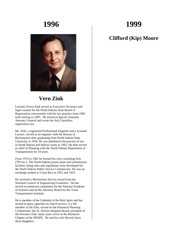## **1999**



### **Vern Zink**

Laverne (Vern) Zink served as Executive Secretary and legal counsel for the North Dakota State Board of Registration concurrently with his law practice from 1982 until retiring in 1995. He served as Special Assistant Attorney General and wrote the Soil Classifiers registration law.

Mr. Zink, a registered Professional Engineer and a licensed Lawyer, served as an engineer with the Bureau of Reclamation after graduating from North Dakota State University in 1956. He was admitted to the practice of law in North Dakota and federal courts in 1963. He then served as chief of Planning with the North Dakota Department of Transportation for 18 years.

From 1974 to 1982 he formed his own consulting firm (TPI Inc.). The North Dakota power plant and transmission facilities siting rules and regulations were developed for the North Dakota Public Service Commission. He was an exchange student to Costa Rica in 1952 and 1953.

He received a Meritorious Service award from the National Council of Engineering Examiners. He has served on numerous committees for the National Academy of Sciences and on the Advisory Board for the Texas Transportation Institute.

He is member of the Cathedral of the Holy Spirit and has served in many capacities in church service; is a life member of the Elks; served on the Bismarck Planning Commission; the St. Alexius Hospital Board; president of the Kiwanis Club; many years active in the Bismarck Chapter of the NDSPE. He and his wife Beverly have three daughters.

### **Clifford (Kip) Moore**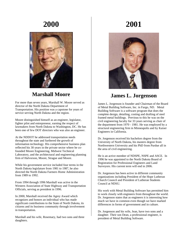

### **Marshall Moore**

For more than seven years, Marshall W. Moore served as director of the North Dakota Department of Transportation. His position was a capstone for years of service serving North Dakota and the region.

Moore distinguished himself as an engineer, legislator, fighter pilot and entrepreneur, earning the respect of lawmakers from North Dakota to Washington, DC. He has been one of few DOT directors who was also an engineer.

At the NDDOT he addressed transportation needs throughout the state and furthered the growth of information technology. His comprehensive business plan reflected his 30 years in the private sector where he cofounded Moore Engineering, Midwest Technical Laboratory, and the architectural and engineering planning firm of Halvorson, Moore, Strague and Moore.

While his government service included four terms in the North Dakota legislature from 1981 to 1987, he also directed the North Dakota Farmers Home Administration from 1989 to 1992.

From 1994 through 1996 Marshall was active in the Western Association of State Highway and Transportation Officials, serving as president in 1996.

In 2000, Marshall received the Agrey Award which recognizes and honors an individual who has made significant contributions to the State of North Dakota, its citizens and its business community through involvement in transportation.

Marshall and his wife, Rosemary, had two sons and three daughters.

## **2001**



### **James L. Jorgenson**

James L. Jorgenson is founder and Chairman of the Board of Metal Building Software, Inc. in Fargo, ND. Metal Building Software is a software program that does the complete design, detailing, costing and drafting of steel framed metal buildings. Previous to this he was on the civil engineering faculty for 33 years serving as chair of the department from 1970 - 1981. He was employed by a structural engineering firm in Minneapolis and by Kaiser Engineers in California.

Dr. Jorgenson received his bachelors degree from the University of North Dakota, his masters degree from Northwestern University and his PhD from Purdue all in the area of civil engineering.

He is an active member of NDSPE, NSPE and ASCE. In 1996 he was appointed to the North Dakota Board of Registration for Professional Engineers and Land Surveyors. His current term will end in 2006.

Dr. Jorgenson has been active in different community organizations including President of the Hope Lutheran Church Council and President of Lutheran Students Council at NDSU.

His work with Metal Building Software has permitted him to work closely with engineers from throughout the world. Dr. Jorgenson states that as engineers it is interesting how much we have in common even though we have marked differences in forms of government and in culture.

Dr. Jorgenson and his wife, Jean, have two sons and a daughter. Their son Dean, a professional engineer, is president of Metal Building Software.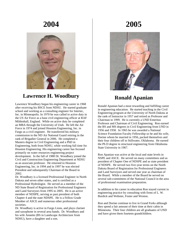

### **Lawrence H. Woodbury**

Lawrence Woodbury began his engineering career in 1968 after receiving his BSCE from NDSU. He started graduate school and working as a consulting engineer for Intertec, Inc. in Minneapolis. In 1970 he was called to active duty in the US Air Force as a base civil engineering officer at RAF Mildenhall, England. While on active duty he completed an MBA through the University of Utah. He left the Air Force in 1974 and joined Houston Engineering, Inc. in Fargo as a civil engineer. He transferred his military commission to the ND Air National Guard retiring in the rank of Brigadier General in 2006. He completed a Masters degree in Civil Engineering and a PhD in Engineering, both from NDSU, while working full time for Houston Engineering. His engineering career has focused primarily on water resources engineering project development. In the fall of 1988 Dr. Woodbury joined the Civil and Construction Engineering Department at NDSU as an associate professor. He returned to Houston Engineering, Inc. in 1994 and in 1997 he was elected President and subsequently Chairman of the Board in 2002.

Dr. Woodbury is a licensed Professional Engineer in North Dakota and seven other states, and is certified as a Professional Hydrologist. He served as a member of the ND State Board of Registration for Professional Engineers and Land Surveyors from 1995 to 2005. He is an active member of NDSPE, serving as past president of both Chapter 4 and the state NDSPE. He is a Fellow Grade Member of ASCE and numerous other professional societies.

Dr. Woodbury is active in Fargo Lions, and plays clarinet and saxophone in several area bands. Dr. Woodbury and his wife Annette (BS in Landscape Architecture from NDSU), have a daughter and a son.

## **2005**



### **Ronald Apanian**

Ronald Apanian had a most rewarding and fulfilling career in engineering education. He started teaching in the Civil Engineering program at the University of North Dakota at the rank of Instructor in 1957 and retired as Professor and Chairman in 1999. He is currently a UND Emeritus Professor and Chairman of Civil Engineering. Ron earned the BS and MS degrees in Civil Engineering from UND in 1956 and 1958. In 1965 he was awarded a National Science Foundation Faculty Fellowship so he and his wife, Dorine whom he married in 1956, packed themselves and their four children off to Stillwater, Oklahoma. He earned the Ph D degree in structural engineering from Oklahoma State University in 1967.

Ron Apanian was active at the local and state levels in NSPE and ASCE. He served on many committees and as president of Chapter One of NDSPE and as state president of NDSPE. He served two five-year terms on the North Dakota Board of Registration for Professional Engineers and Land Surveyors and served one year as chairman of the Board. While a member of the Board he served on several sub-committees of the National Council in the area of professional examination preparation.

In addition to his career in education Ron stayed current in engineering practice by consulting with firms of L. W. Burdick and Webster, Foster and Weston.

Ron and Dorine continue to live in Grand Forks although they spend a fair amount of their time at their cabin in Minnesota. Their four children are all graduates of UND and have given them fourteen grandchildren.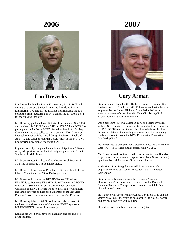

### **Lon Drevecky**

Lon Drevecky founded Prairie Engineering, P.C. in 1979 and currently serves as a Senior Partner and President. Prairie Engineering, P.C. has offices in Minot and Bismarck and is a consulting firm specializing in Mechanical and Electrical design for the building industry.

Mr. Drevecky graduated Valedictorian from Adams HS in 1966 and received his BSME from NDSU in 1970. While at NDSU he participated in Air Force ROTC, Served as Arnold Air Society Commander and was called to active duty in 1970. Lieutenant Drevecky served as Mechanical Design Engineer at Lackland AFB Tx., and Chief of Program Development in the 341<sup>st</sup> Civil Engineering Squadron at Malmstrom AFB Mt.

Captain Drevecky completed his military obligation in 1974 and accepted a position as mechanical design engineer with Schmit, Smith and Rush in Minot.

Mr. Drevecky was first licensed as a Professional Engineer in 1975 and is currently licensed in six states.

Mr. Drevecky has served as President of Bread of Life Lutheran Church Council and the Minot Exchange Club.

Mr. Drevecky has served as NDSPE Chapter II President, NDSPE State President, NDSPE National Director, ACEC/ND President, ASHRAE Member, Board Member and Past Chairman of the ND State Board of Registration for Engineers and land Surveyors and has been a member of the ND State Plumbing Board for 17 years, currently serving as President.

Mr. Drevecky talks to high School students about careers in engineering and works at the Minot area NDSPE sponsored MATHCOUNTS competition annually.

Lon and his wife Sandy have one daughter, one son and two grandchildren.

## **2007**



### **Gary Arman**

Gary Arman graduated with a Bachelor Science Degree in Civil Engineering from NDSU in 1967. Following graduation he was employed by the Kansas Highway Commission before he accepted a manager's position with Twin City Testing/Soil Exploration in Eau Claire, Wisconsin.

Upon his return to North Dakota in 1978 he became involved with NDSPE Chapter 3. He was instrumental in fund raising for the 1981 NSPE National Summer Meeting which was held in Bismarck. After all the meeting bills were paid, the remaining funds were used to create the NDSPE Education Foundation Scholarship Fund.

He later served as vice-president, president-elect and president of Chapter 3. He also held similar offices with NDSPE.

Mr. Arman served two terms on the North Dakota State Board of Registration for Professional Engineers and Land Surveyor being appointed by both Governors Schafer and Hoeven

At the time of receiving this reward Mr. Arman was selfemployed working as a special consultant to Braun Intertec Corporation.

Gary is currently involved with the Bismarck-Mandan Development Association and is a member of the Bismarck-Mandan Chamber's Transportation committee which he has chaired several times.

He is actively involved with the Capital City Lions Club and the United Way. Over the years he has coached little league soccer and has been involved with scouting.

He and his wife Inez have a son and a daughter.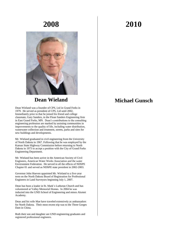

#### **Dean Wieland**

Dean Wieland was a founder of CPS, Ltd in Grand Forks in 1979. He served as president of CPS, Ltd until 2002. Immediately prior to that he joined his friend and college classmate, Gary Sanders, in the Floan Sanders Engineering firm in East Grand Forks, MN. Dean's contributions to the consulting engineering profession are marked by assisting communities in improvements to the quality of life, including water distribution, wastewater collection and treatment, streets, parks and sites for new buildings and developments.

Mr. Wieland graduated in civil engineering from the University of North Dakota in 1967. Following that he was employed by the Kansas State Highway Commission before returning to North Dakota in 1973 to accept a position with the City of Grand Forks Engineering Department.

Mr. Wieland has been active in the American Society of Civil Engineers, American Water Works Association and the water Environment Federation. He served in all the offices of NDSPE Chapter 01 and served as NDSPE state president in 2002-2003.

Governor John Hoeven appointed Mr. Wieland to a five-year term on the North Dakota Board of Registration for Professional Engineers in Land Surveyors beginning July 1, 2007.

Dean has been a leader in St. Mark's Lutheran Church and has volunteered at Valley Memorial Homes. In 2004 he was inducted into the UND School of Engineering and mines Alumni Academy.

Dean and his wife Mae have traveled extensively as ambassadors for North Dakota. Their most recent trip was to the Three Gorges Dam in China.

Both their son and daughter are UND engineering graduates and registered professional engineers.

## **2010**

### **Michael Gunsch**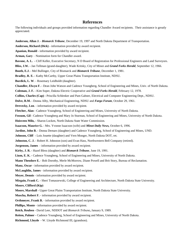#### **References**

The following individuals and groups provided information regarding Chandler Award recipients. Their assistance is greatly appreciated.

**Anderson, Allan J.** - *Bismarck Tribune*, December 19, 1997 and North Dakota Department of Transportation.

**Anderson, Richard (Dick) -** information provided by award recipient.

**Apanian, Ronald** - information provided by award recipient.

**Arman, Gary** – Nomination form for Chandler award.

**Bavone, A. L. -** Cliff Keller, Executive Secretary, N D Board of Registration for Professional Engineers and Land Surveyors.

**Bliss, J.W. -** Jan Tellman (grand-daughter), Wade Kritsky, City of Minot and *Grand Forks Herald*, September 12, 1966.

**Booth, E.J.** - Mel Bullinger, City of Bismarck and *Bismarck Tribune*, December 1, 1981.

**Bradley, R. E. -** Kathy McCarthy, Upper Great Plains Transportation Institute, NDSU.

**Burdick, L. W**. - Rosemary Leidholdt (daughter).

**Chandler, Elwyn F. -** Dean John Watson and Cadence Youngberg, School of Engineering and Mines, Univ. of North Dakota.

**Coleman, J. F. -** Kim Soper, Dakota Electric Cooperative and *Grand Forks Herald*, February 12, 1978.

**Collins, Charles (Cap) -** Priscilla Schlenker and Pam Gahner, Electrical and Computer Engineering Dept., NDSU.

**Dolve, R.M.** - Donna Alby, Mechanical Engineering, NDSU and *Fargo Forum*, October 29, 1961.

**Drevecky, Lon**. - information provided by award recipient.

**Fletcher, Alan -** Cadence Youngberg, School of Engineering and Mines, University of North Dakota.

**Fossum, Gil -** Cadence Youngberg and Mary Jo Sturman, School of Engineering and Mines, University of North Dakota.

**Hoisveen Milo, -** Sharon Locken, North Dakota State Water Commission.

**Isaacson, Maurice G.** - Mrs. Yvonne Isaacson (wife) and *Minot Daily News,* October 6, 1996.

**Jardine, John B. -** Donna Demars (daughter) and Cadence Youngberg, School of Engineering and Mines, UND.

**Johnson, Cliff -** Lois Jouette (daughter) and Vern Monger, North Dakota DOT, ret.

**Johnston, C. J.** - Robert H. Johnston (son) and Evan Hass, Northwestern Bell Company (retired).

**Jorgenson, James** - information provided by award recipient.

**Kirby, J. R. -** Hazel Bless (daughter) and *Bismarck Tribune*, June 19, 1991.

**Lium, E. K. -** Cadence Youngberg, School of Engineering and Mines, University of North Dakota.

**Mann Theodore E.** - Bob Dorothy, Merle McMorrow, Diane Powell and Brit Story, Bureau of Reclamation.

**Manz, Oscar -** information provided by award recipient.

**McLaughlin, James** - information provided by award recipient.

**Meyer, Dennis** - information provided by award recipient.

**Mirgain, Frank C. -** Sheri Tomaszewski, College of Engineering and Architecture, North Dakota State University.

**Moore, Clifford (Kip)** 

**Moore, Marshall -** Upper Great Plains Transportation Institute, North Dakota State University.

**Muscha, Robert F.** - information provided by award recipient.

**Orthmeyer, Frank B.** - information provided by award recipient.

**Phillips, Monte** - information provided by award recipient.

**Reich, Reuben -** David Leer, NDDOT and *Bismarck Tribune***,** January 9, 1989.

**Reiten, Palmer -** Cadence Youngberg, School of Engineering and Mines, University of North Dakota.

**Richmond, Lloyde** - W. Lloyde Richmond III, (grandson).